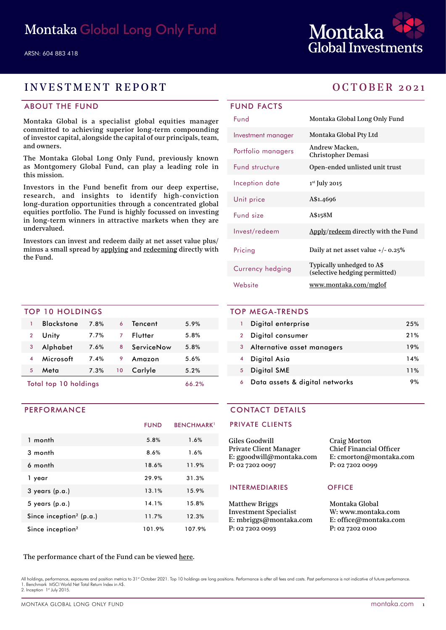

# INVESTMENT REPORT OCTOBER 2021

### ABOUT THE FUND

Montaka Global is a specialist global equities manager committed to achieving superior long-term compounding of investor capital, alongside the capital of our principals, team, and owners.

The Montaka Global Long Only Fund, previously known as Montgomery Global Fund, can play a leading role in this mission.

Investors in the Fund benefit from our deep expertise, research, and insights to identify high-conviction long-duration opportunities through a concentrated global equities portfolio. The Fund is highly focussed on investing in long-term winners in attractive markets when they are undervalued.

Investors can invest and redeem daily at net asset value plus/ minus a small spread by [applying](https://fundhost.olivia123.com/fundhost/montaka-global-long-only-fund.php) and [redeeming](https://fundhost.com.au/investor-login/) directly with the Fund.

### TOP 10 HOLDINGS

| Total top 10 holdings | 66.2%             |      |    |            |      |  |
|-----------------------|-------------------|------|----|------------|------|--|
| 5                     | Meta              | 7.3% | 10 | Carlyle    | 5.2% |  |
|                       | Microsoft         | 7.4% | 9  | Amazon     | 5.6% |  |
| 3                     | Alphabet          | 7.6% | 8  | ServiceNow | 5.8% |  |
| $\overline{2}$        | Unity             | 7.7% | 7  | Flutter    | 5.8% |  |
| 1                     | <b>Blackstone</b> | 7.8% | 6  | Tencent    | 5.9% |  |
|                       |                   |      |    |            |      |  |

PERFORMANCE

|                                     | <b>FUND</b> | <b>BENCHMARK</b> <sup>1</sup> |
|-------------------------------------|-------------|-------------------------------|
| 1 month                             | 5.8%        | 1.6%                          |
| 3 month                             | 8.6%        | 1.6%                          |
| 6 month                             | 18.6%       | 11.9%                         |
| 1 year                              | 29.9%       | 31.3%                         |
| $3$ years $(p.a.)$                  | 13.1%       | 15.9%                         |
| $5$ years (p.a.)                    | 14.1%       | 15.8%                         |
| Since inception <sup>2</sup> (p.a.) | 11.7%       | 12.3%                         |
| Since inception <sup>2</sup>        | 101.9%      | 107.9%                        |

# FUND FACTS

| Fund               | Montaka Global Long Only Fund                              |
|--------------------|------------------------------------------------------------|
| Investment manager | Montaka Global Pty Ltd                                     |
| Portfolio managers | Andrew Macken,<br>Christopher Demasi                       |
| Fund structure     | Open-ended unlisted unit trust                             |
| Inception date     | $1st$ July 2015                                            |
| Unit price         | A\$1.4696                                                  |
| Fund size          | A\$158M                                                    |
| Invest/redeem      | Apply/redeem directly with the Fund                        |
| Pricing            | Daily at net asset value $+/- 0.25\%$                      |
| Currency hedging   | Typically unhedged to A\$<br>(selective hedging permitted) |
| Website            | www.montaka.com/mglof                                      |

## TOP MEGA-TRENDS 1 Digital enterprise 25% 2 Digital consumer 21% 3 Alternative asset managers 19% 4 Digital Asia 14% 5 Digital SME 11% 6 Data assets & digital networks 9%

### CONTACT DETAILS

### PRIVATE CLIENTS

| Giles Goodwill           | <b>Craig Morton</b>            |
|--------------------------|--------------------------------|
| Private Client Manager   | <b>Chief Financial Officer</b> |
| E: ggoodwill@montaka.com | E: cmorton@montaka.co          |
| P: 02 7202 0097          | P: 0272020099                  |
|                          |                                |

### INTERMEDIARIES OFFICE

Matthew Briggs Investment Specialist E: mbriggs@montaka.com P: 02 7202 0093

E: cmorton@montaka.com

Montaka Global W: [www.montaka.com](http://www.montaka.com) E: office@montaka.com P: 02 7202 0100

### The performance chart of the Fund can be viewed [here](https://montaka.com/our-philosophy/montaka-global-long-only/montaka-global-long-only-fund/).

All holdings, performance, exposures and position metrics to 31<sup>st</sup> October 2021. Top 10 holdings are long positions. Performance is after all fees and costs. Past performance is not indicative of future performance. 1. Benchmark MSCI World Net Total Return Index in A\$. 2. Inception 1st July 2015.